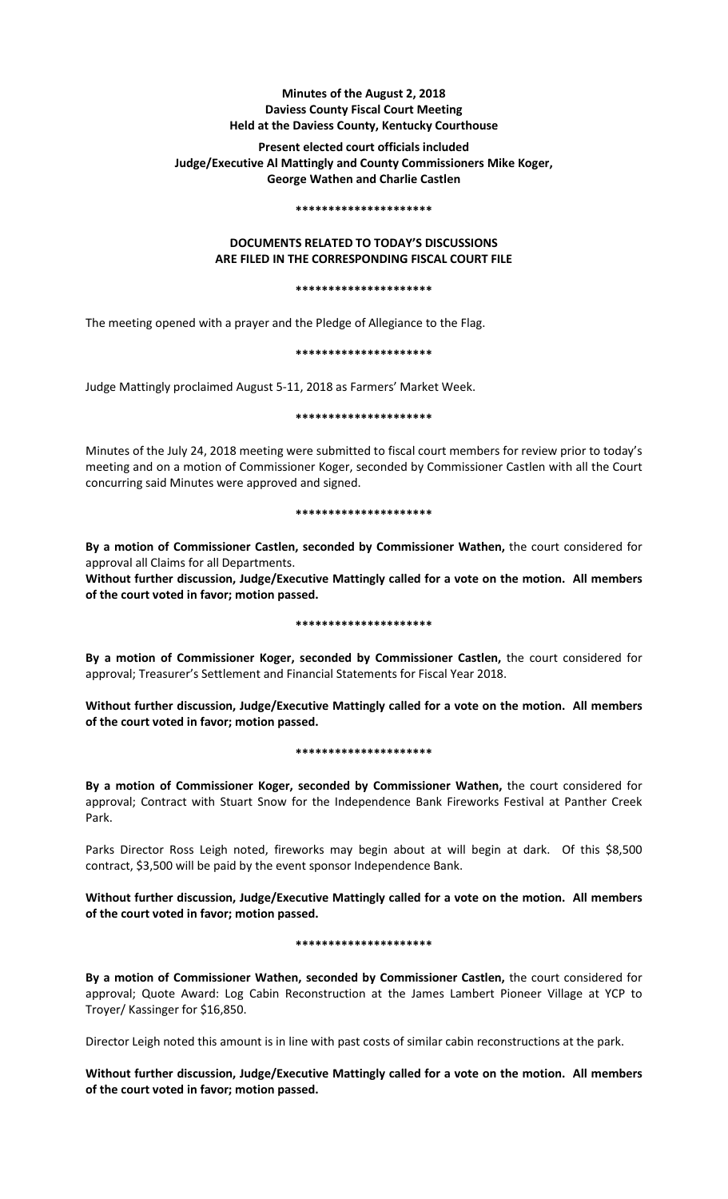# **Minutes of the August 2, 2018 Daviess County Fiscal Court Meeting Held at the Daviess County, Kentucky Courthouse**

# **Present elected court officials included Judge/Executive Al Mattingly and County Commissioners Mike Koger, George Wathen and Charlie Castlen**

#### **\*\*\*\*\*\*\*\*\*\*\*\*\*\*\*\*\*\*\*\*\***

# **DOCUMENTS RELATED TO TODAY'S DISCUSSIONS ARE FILED IN THE CORRESPONDING FISCAL COURT FILE**

#### **\*\*\*\*\*\*\*\*\*\*\*\*\*\*\*\*\*\*\*\*\***

The meeting opened with a prayer and the Pledge of Allegiance to the Flag.

**\*\*\*\*\*\*\*\*\*\*\*\*\*\*\*\*\*\*\*\*\***

Judge Mattingly proclaimed August 5-11, 2018 as Farmers' Market Week.

**\*\*\*\*\*\*\*\*\*\*\*\*\*\*\*\*\*\*\*\*\***

Minutes of the July 24, 2018 meeting were submitted to fiscal court members for review prior to today's meeting and on a motion of Commissioner Koger, seconded by Commissioner Castlen with all the Court concurring said Minutes were approved and signed.

# **\*\*\*\*\*\*\*\*\*\*\*\*\*\*\*\*\*\*\*\*\***

**By a motion of Commissioner Castlen, seconded by Commissioner Wathen,** the court considered for approval all Claims for all Departments.

**Without further discussion, Judge/Executive Mattingly called for a vote on the motion. All members of the court voted in favor; motion passed.** 

# **\*\*\*\*\*\*\*\*\*\*\*\*\*\*\*\*\*\*\*\*\***

**By a motion of Commissioner Koger, seconded by Commissioner Castlen,** the court considered for approval; Treasurer's Settlement and Financial Statements for Fiscal Year 2018.

**Without further discussion, Judge/Executive Mattingly called for a vote on the motion. All members of the court voted in favor; motion passed.** 

# **\*\*\*\*\*\*\*\*\*\*\*\*\*\*\*\*\*\*\*\*\***

**By a motion of Commissioner Koger, seconded by Commissioner Wathen,** the court considered for approval; Contract with Stuart Snow for the Independence Bank Fireworks Festival at Panther Creek Park.

Parks Director Ross Leigh noted, fireworks may begin about at will begin at dark. Of this \$8,500 contract, \$3,500 will be paid by the event sponsor Independence Bank.

**Without further discussion, Judge/Executive Mattingly called for a vote on the motion. All members of the court voted in favor; motion passed.** 

# **\*\*\*\*\*\*\*\*\*\*\*\*\*\*\*\*\*\*\*\*\***

**By a motion of Commissioner Wathen, seconded by Commissioner Castlen,** the court considered for approval; Quote Award: Log Cabin Reconstruction at the James Lambert Pioneer Village at YCP to Troyer/ Kassinger for \$16,850.

Director Leigh noted this amount is in line with past costs of similar cabin reconstructions at the park.

**Without further discussion, Judge/Executive Mattingly called for a vote on the motion. All members of the court voted in favor; motion passed.**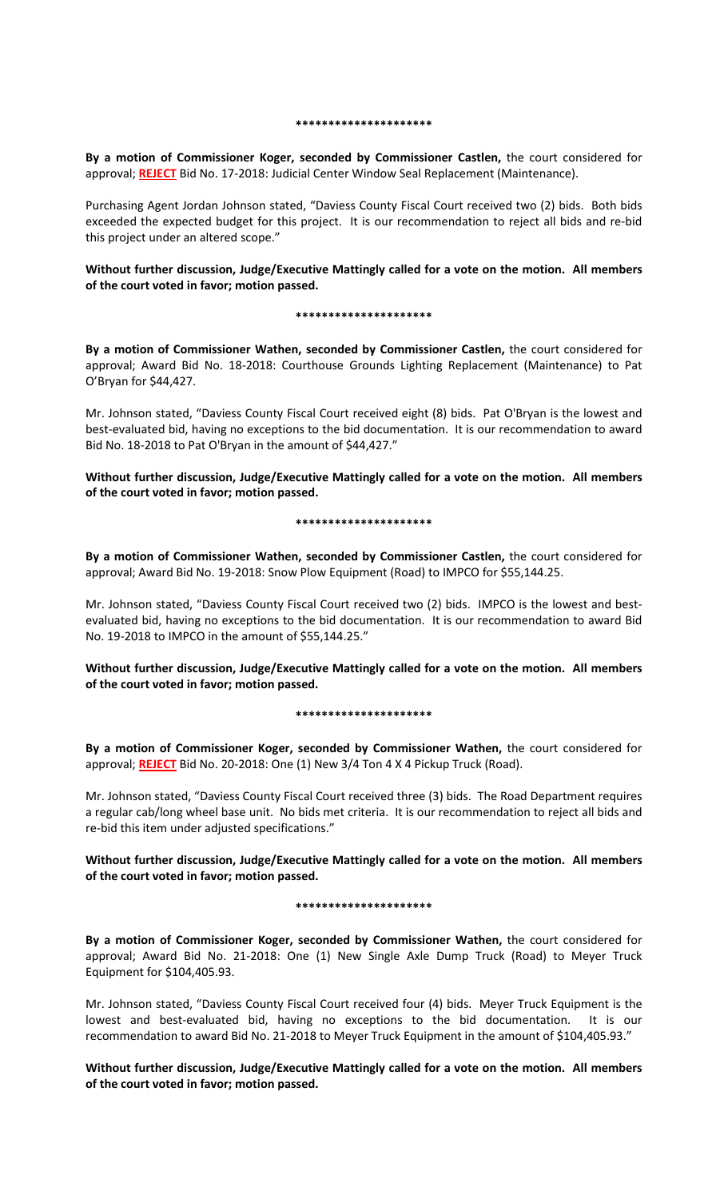#### **\*\*\*\*\*\*\*\*\*\*\*\*\*\*\*\*\*\*\*\*\***

**By a motion of Commissioner Koger, seconded by Commissioner Castlen,** the court considered for approval; **REJECT** Bid No. 17-2018: Judicial Center Window Seal Replacement (Maintenance).

Purchasing Agent Jordan Johnson stated, "Daviess County Fiscal Court received two (2) bids. Both bids exceeded the expected budget for this project. It is our recommendation to reject all bids and re-bid this project under an altered scope."

# **Without further discussion, Judge/Executive Mattingly called for a vote on the motion. All members of the court voted in favor; motion passed.**

## **\*\*\*\*\*\*\*\*\*\*\*\*\*\*\*\*\*\*\*\*\***

**By a motion of Commissioner Wathen, seconded by Commissioner Castlen,** the court considered for approval; Award Bid No. 18-2018: Courthouse Grounds Lighting Replacement (Maintenance) to Pat O'Bryan for \$44,427.

Mr. Johnson stated, "Daviess County Fiscal Court received eight (8) bids. Pat O'Bryan is the lowest and best-evaluated bid, having no exceptions to the bid documentation. It is our recommendation to award Bid No. 18-2018 to Pat O'Bryan in the amount of \$44,427."

**Without further discussion, Judge/Executive Mattingly called for a vote on the motion. All members of the court voted in favor; motion passed.** 

## **\*\*\*\*\*\*\*\*\*\*\*\*\*\*\*\*\*\*\*\*\***

**By a motion of Commissioner Wathen, seconded by Commissioner Castlen,** the court considered for approval; Award Bid No. 19-2018: Snow Plow Equipment (Road) to IMPCO for \$55,144.25.

Mr. Johnson stated, "Daviess County Fiscal Court received two (2) bids. IMPCO is the lowest and bestevaluated bid, having no exceptions to the bid documentation. It is our recommendation to award Bid No. 19-2018 to IMPCO in the amount of \$55,144.25."

**Without further discussion, Judge/Executive Mattingly called for a vote on the motion. All members of the court voted in favor; motion passed.** 

# **\*\*\*\*\*\*\*\*\*\*\*\*\*\*\*\*\*\*\*\*\***

**By a motion of Commissioner Koger, seconded by Commissioner Wathen,** the court considered for approval; **REJECT** Bid No. 20-2018: One (1) New 3/4 Ton 4 X 4 Pickup Truck (Road).

Mr. Johnson stated, "Daviess County Fiscal Court received three (3) bids. The Road Department requires a regular cab/long wheel base unit. No bids met criteria. It is our recommendation to reject all bids and re-bid this item under adjusted specifications."

**Without further discussion, Judge/Executive Mattingly called for a vote on the motion. All members of the court voted in favor; motion passed.** 

# **\*\*\*\*\*\*\*\*\*\*\*\*\*\*\*\*\*\*\*\*\***

**By a motion of Commissioner Koger, seconded by Commissioner Wathen,** the court considered for approval; Award Bid No. 21-2018: One (1) New Single Axle Dump Truck (Road) to Meyer Truck Equipment for \$104,405.93.

Mr. Johnson stated, "Daviess County Fiscal Court received four (4) bids. Meyer Truck Equipment is the lowest and best-evaluated bid, having no exceptions to the bid documentation. It is our recommendation to award Bid No. 21-2018 to Meyer Truck Equipment in the amount of \$104,405.93."

**Without further discussion, Judge/Executive Mattingly called for a vote on the motion. All members of the court voted in favor; motion passed.**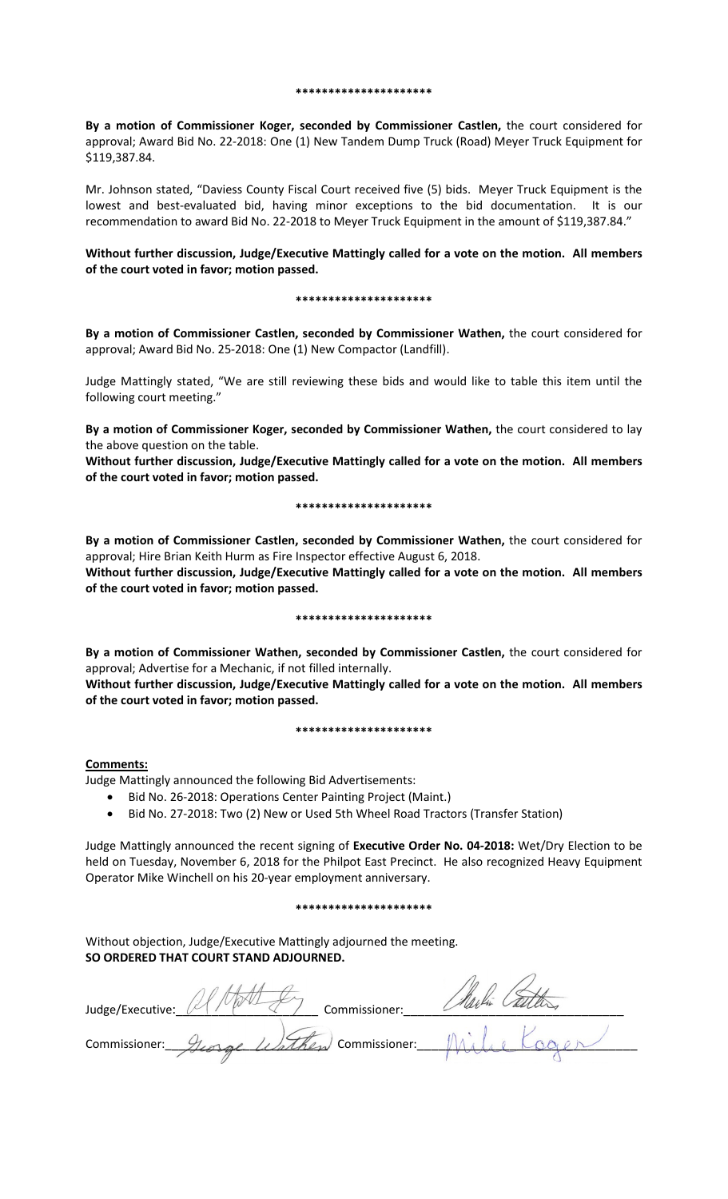#### **\*\*\*\*\*\*\*\*\*\*\*\*\*\*\*\*\*\*\*\*\***

**By a motion of Commissioner Koger, seconded by Commissioner Castlen,** the court considered for approval; Award Bid No. 22-2018: One (1) New Tandem Dump Truck (Road) Meyer Truck Equipment for \$119,387.84.

Mr. Johnson stated, "Daviess County Fiscal Court received five (5) bids. Meyer Truck Equipment is the lowest and best-evaluated bid, having minor exceptions to the bid documentation. It is our recommendation to award Bid No. 22-2018 to Meyer Truck Equipment in the amount of \$119,387.84."

**Without further discussion, Judge/Executive Mattingly called for a vote on the motion. All members of the court voted in favor; motion passed.** 

#### **\*\*\*\*\*\*\*\*\*\*\*\*\*\*\*\*\*\*\*\*\***

**By a motion of Commissioner Castlen, seconded by Commissioner Wathen,** the court considered for approval; Award Bid No. 25-2018: One (1) New Compactor (Landfill).

Judge Mattingly stated, "We are still reviewing these bids and would like to table this item until the following court meeting."

**By a motion of Commissioner Koger, seconded by Commissioner Wathen,** the court considered to lay the above question on the table.

**Without further discussion, Judge/Executive Mattingly called for a vote on the motion. All members of the court voted in favor; motion passed.** 

## **\*\*\*\*\*\*\*\*\*\*\*\*\*\*\*\*\*\*\*\*\***

**By a motion of Commissioner Castlen, seconded by Commissioner Wathen,** the court considered for approval; Hire Brian Keith Hurm as Fire Inspector effective August 6, 2018.

**Without further discussion, Judge/Executive Mattingly called for a vote on the motion. All members of the court voted in favor; motion passed.** 

### **\*\*\*\*\*\*\*\*\*\*\*\*\*\*\*\*\*\*\*\*\***

**By a motion of Commissioner Wathen, seconded by Commissioner Castlen,** the court considered for approval; Advertise for a Mechanic, if not filled internally.

**Without further discussion, Judge/Executive Mattingly called for a vote on the motion. All members of the court voted in favor; motion passed.** 

### **\*\*\*\*\*\*\*\*\*\*\*\*\*\*\*\*\*\*\*\*\***

# **Comments:**

Judge Mattingly announced the following Bid Advertisements:

- Bid No. 26-2018: Operations Center Painting Project (Maint.)
- Bid No. 27-2018: Two (2) New or Used 5th Wheel Road Tractors (Transfer Station)

Judge Mattingly announced the recent signing of **Executive Order No. 04-2018:** Wet/Dry Election to be held on Tuesday, November 6, 2018 for the Philpot East Precinct. He also recognized Heavy Equipment Operator Mike Winchell on his 20-year employment anniversary.

### **\*\*\*\*\*\*\*\*\*\*\*\*\*\*\*\*\*\*\*\*\***

Without objection, Judge/Executive Mattingly adjourned the meeting. **SO ORDERED THAT COURT STAND ADJOURNED.**

| Judge/Executive: | Commissioner:        |  |
|------------------|----------------------|--|
| Commissioner:    | Wathen Commissioner: |  |